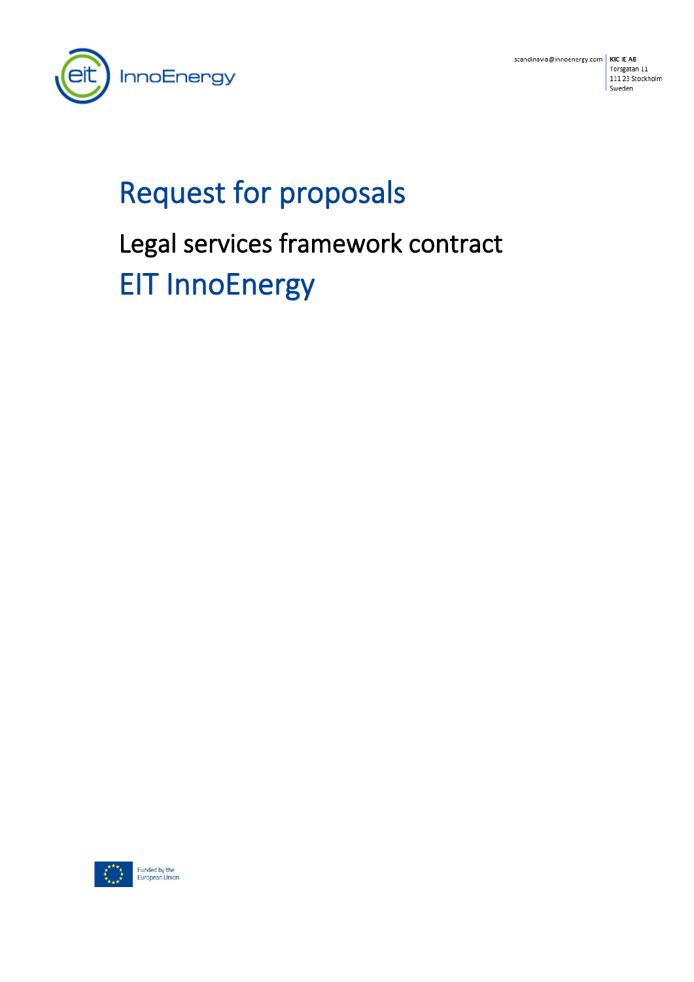

scandinavia@innoenergy.com | KIC IE AB Torsgatan 11 111 23 Stockholm Sweden

# Request for proposals Legal services framework contract EIT InnoEnergy

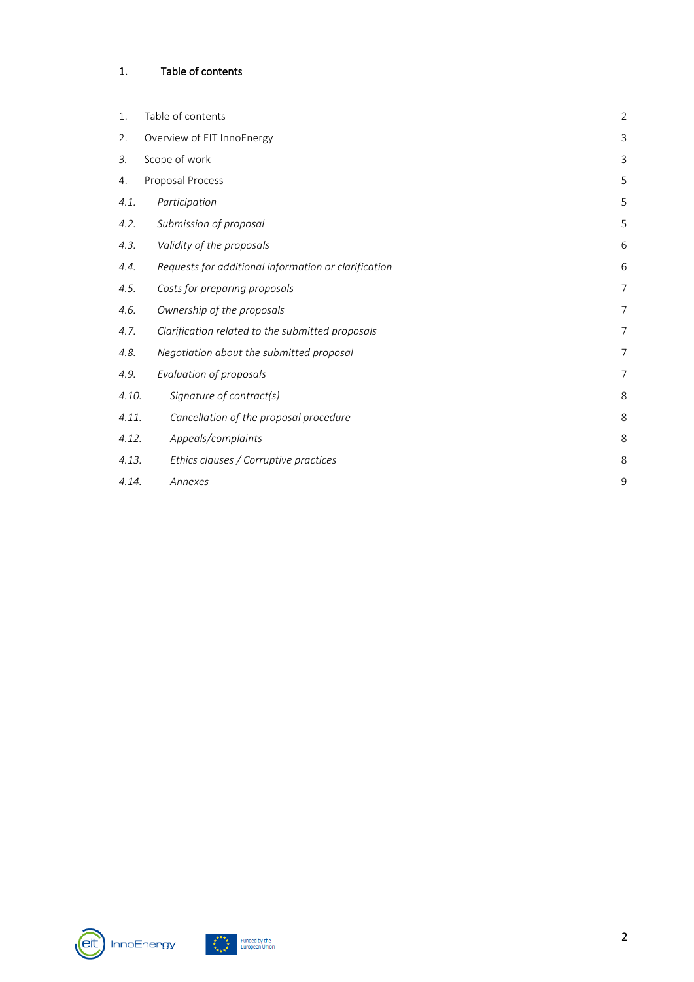# <span id="page-1-0"></span>1. Table of contents

| 1.    | Table of contents                                    | $\overline{2}$ |
|-------|------------------------------------------------------|----------------|
| 2.    | Overview of EIT InnoEnergy                           | $\mathsf{3}$   |
| 3.    | Scope of work                                        | 3              |
| 4.    | Proposal Process                                     | 5              |
| 4.1.  | Participation                                        | 5              |
| 4.2.  | Submission of proposal                               | 5              |
| 4.3.  | Validity of the proposals                            | 6              |
| 4.4.  | Requests for additional information or clarification | 6              |
| 4.5.  | Costs for preparing proposals                        | $\overline{7}$ |
| 4.6.  | Ownership of the proposals                           | $\overline{7}$ |
| 4.7.  | Clarification related to the submitted proposals     | 7              |
| 4.8.  | Negotiation about the submitted proposal             | 7              |
| 4.9.  | Evaluation of proposals                              | $\overline{7}$ |
| 4.10. | Signature of contract(s)                             | 8              |
| 4.11. | Cancellation of the proposal procedure               | 8              |
| 4.12. | Appeals/complaints                                   | 8              |
| 4.13. | Ethics clauses / Corruptive practices                | 8              |
| 4.14. | Annexes                                              | 9              |



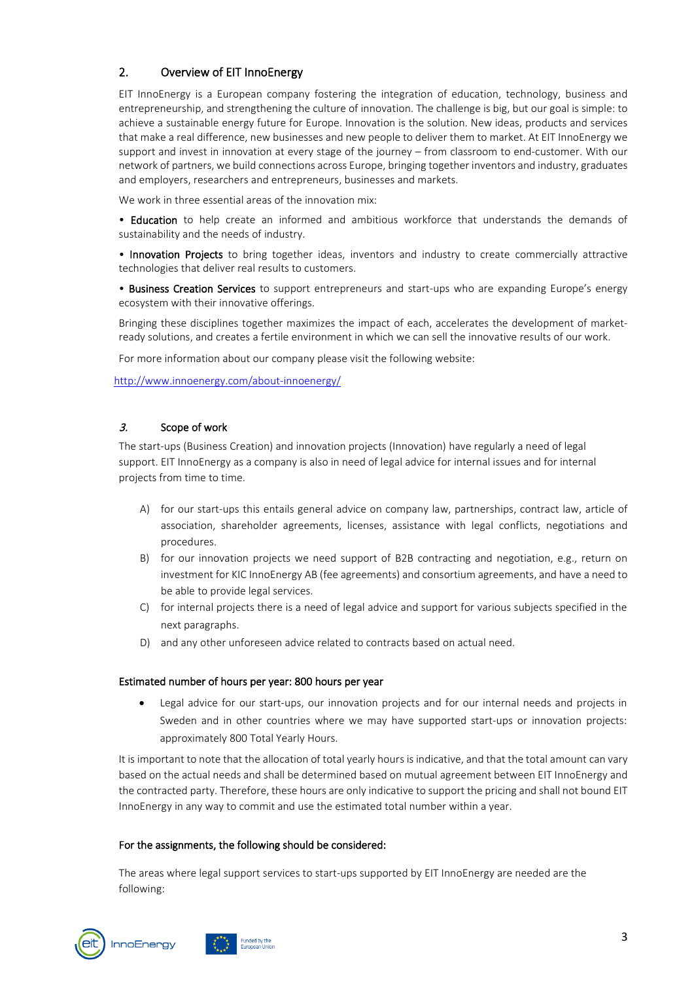# <span id="page-2-0"></span>2. Overview of EIT InnoEnergy

EIT InnoEnergy is a European company fostering the integration of education, technology, business and entrepreneurship, and strengthening the culture of innovation. The challenge is big, but our goal is simple: to achieve a sustainable energy future for Europe. Innovation is the solution. New ideas, products and services that make a real difference, new businesses and new people to deliver them to market. At EIT InnoEnergy we support and invest in innovation at every stage of the journey – from classroom to end-customer. With our network of partners, we build connections across Europe, bringing together inventors and industry, graduates and employers, researchers and entrepreneurs, businesses and markets.

We work in three essential areas of the innovation mix:

• Education to help create an informed and ambitious workforce that understands the demands of sustainability and the needs of industry.

• Innovation Projects to bring together ideas, inventors and industry to create commercially attractive technologies that deliver real results to customers.

• Business Creation Services to support entrepreneurs and start-ups who are expanding Europe's energy ecosystem with their innovative offerings.

Bringing these disciplines together maximizes the impact of each, accelerates the development of marketready solutions, and creates a fertile environment in which we can sell the innovative results of our work.

For more information about our company please visit the following website:

<http://www.innoenergy.com/about-innoenergy/>

#### <span id="page-2-1"></span>3. Scope of work

The start-ups (Business Creation) and innovation projects (Innovation) have regularly a need of legal support. EIT InnoEnergy as a company is also in need of legal advice for internal issues and for internal projects from time to time.

- A) for our start-ups this entails general advice on company law, partnerships, contract law, article of association, shareholder agreements, licenses, assistance with legal conflicts, negotiations and procedures.
- B) for our innovation projects we need support of B2B contracting and negotiation, e.g., return on investment for KIC InnoEnergy AB (fee agreements) and consortium agreements, and have a need to be able to provide legal services.
- C) for internal projects there is a need of legal advice and support for various subjects specified in the next paragraphs.
- D) and any other unforeseen advice related to contracts based on actual need.

#### Estimated number of hours per year: 800 hours per year

• Legal advice for our start-ups, our innovation projects and for our internal needs and projects in Sweden and in other countries where we may have supported start-ups or innovation projects: approximately 800 Total Yearly Hours.

It is important to note that the allocation of total yearly hours is indicative, and that the total amount can vary based on the actual needs and shall be determined based on mutual agreement between EIT InnoEnergy and the contracted party. Therefore, these hours are only indicative to support the pricing and shall not bound EIT InnoEnergy in any way to commit and use the estimated total number within a year.

#### For the assignments, the following should be considered:

nded by the

The areas where legal support services to start-ups supported by EIT InnoEnergy are needed are the following:

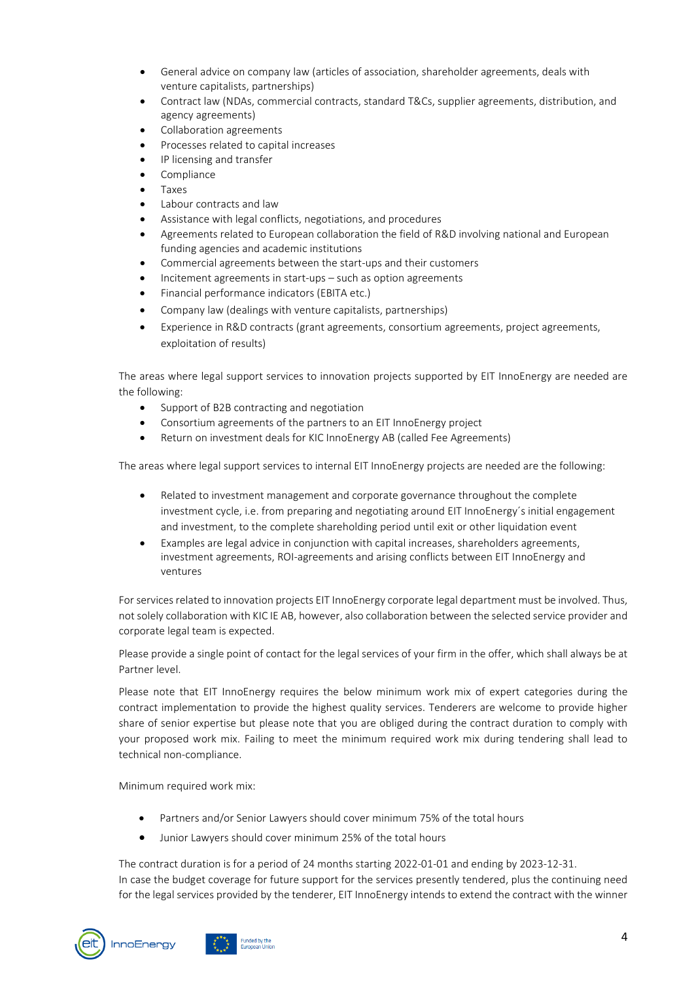- General advice on company law (articles of association, shareholder agreements, deals with venture capitalists, partnerships)
- Contract law (NDAs, commercial contracts, standard T&Cs, supplier agreements, distribution, and agency agreements)
- Collaboration agreements
- Processes related to capital increases
- IP licensing and transfer
- Compliance
- Taxes
- Labour contracts and law
- Assistance with legal conflicts, negotiations, and procedures
- Agreements related to European collaboration the field of R&D involving national and European funding agencies and academic institutions
- Commercial agreements between the start-ups and their customers
- Incitement agreements in start-ups such as option agreements
- Financial performance indicators (EBITA etc.)
- Company law (dealings with venture capitalists, partnerships)
- Experience in R&D contracts (grant agreements, consortium agreements, project agreements, exploitation of results)

The areas where legal support services to innovation projects supported by EIT InnoEnergy are needed are the following:

- Support of B2B contracting and negotiation
- Consortium agreements of the partners to an EIT InnoEnergy project
- Return on investment deals for KIC InnoEnergy AB (called Fee Agreements)

The areas where legal support services to internal EIT InnoEnergy projects are needed are the following:

- Related to investment management and corporate governance throughout the complete investment cycle, i.e. from preparing and negotiating around EIT InnoEnergy´s initial engagement and investment, to the complete shareholding period until exit or other liquidation event
- Examples are legal advice in conjunction with capital increases, shareholders agreements, investment agreements, ROI-agreements and arising conflicts between EIT InnoEnergy and ventures

For services related to innovation projects EIT InnoEnergy corporate legal department must be involved. Thus, not solely collaboration with KIC IE AB, however, also collaboration between the selected service provider and corporate legal team is expected.

Please provide a single point of contact for the legal services of your firm in the offer, which shall always be at Partner level.

Please note that EIT InnoEnergy requires the below minimum work mix of expert categories during the contract implementation to provide the highest quality services. Tenderers are welcome to provide higher share of senior expertise but please note that you are obliged during the contract duration to comply with your proposed work mix. Failing to meet the minimum required work mix during tendering shall lead to technical non-compliance.

Minimum required work mix:

- Partners and/or Senior Lawyers should cover minimum 75% of the total hours
- Junior Lawyers should cover minimum 25% of the total hours

The contract duration is for a period of 24 months starting 2022-01-01 and ending by 2023-12-31.

In case the budget coverage for future support for the services presently tendered, plus the continuing need for the legal services provided by the tenderer, EIT InnoEnergy intends to extend the contract with the winner

**InnoEnergy** 



ded by the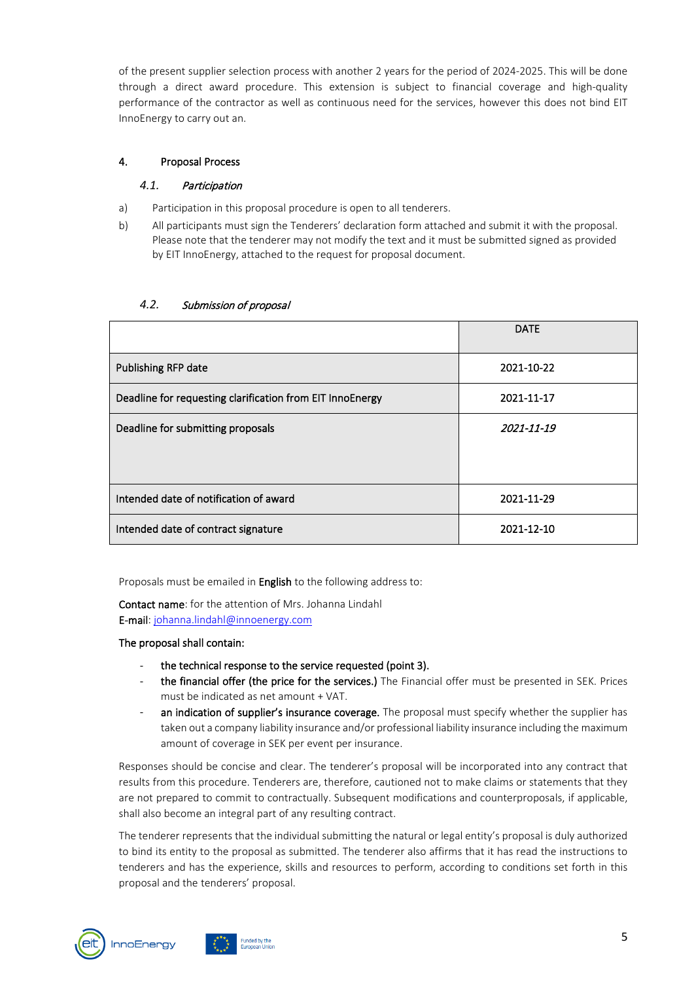of the present supplier selection process with another 2 years for the period of 2024-2025. This will be done through a direct award procedure. This extension is subject to financial coverage and high-quality performance of the contractor as well as continuous need for the services, however this does not bind EIT InnoEnergy to carry out an.

#### <span id="page-4-1"></span><span id="page-4-0"></span>4. Proposal Process

## *4.1.* Participation

- a) Participation in this proposal procedure is open to all tenderers.
- b) All participants must sign the Tenderers' declaration form attached and submit it with the proposal. Please note that the tenderer may not modify the text and it must be submitted signed as provided by EIT InnoEnergy, attached to the request for proposal document.

|                                                           | <b>DATE</b> |
|-----------------------------------------------------------|-------------|
| Publishing RFP date                                       | 2021-10-22  |
| Deadline for requesting clarification from EIT InnoEnergy | 2021-11-17  |
| Deadline for submitting proposals                         | 2021-11-19  |
|                                                           |             |
| Intended date of notification of award                    | 2021-11-29  |
| Intended date of contract signature                       | 2021-12-10  |

#### <span id="page-4-2"></span>*4.2.* Submission of proposal

Proposals must be emailed in **English** to the following address to:

Contact name: for the attention of Mrs. Johanna Lindahl E-mail: [johanna.lindahl@innoenergy.com](mailto:johanna.lindahl@innoenergy.com)

#### The proposal shall contain:

- the technical response to the service requested (point 3).
- the financial offer (the price for the services.) The Financial offer must be presented in SEK. Prices must be indicated as net amount + VAT.
- an indication of supplier's insurance coverage. The proposal must specify whether the supplier has taken out a company liability insurance and/or professional liability insurance including the maximum amount of coverage in SEK per event per insurance.

Responses should be concise and clear. The tenderer's proposal will be incorporated into any contract that results from this procedure. Tenderers are, therefore, cautioned not to make claims or statements that they are not prepared to commit to contractually. Subsequent modifications and counterproposals, if applicable, shall also become an integral part of any resulting contract.

The tenderer represents that the individual submitting the natural or legal entity's proposal is duly authorized to bind its entity to the proposal as submitted. The tenderer also affirms that it has read the instructions to tenderers and has the experience, skills and resources to perform, according to conditions set forth in this proposal and the tenderers' proposal.



ded by the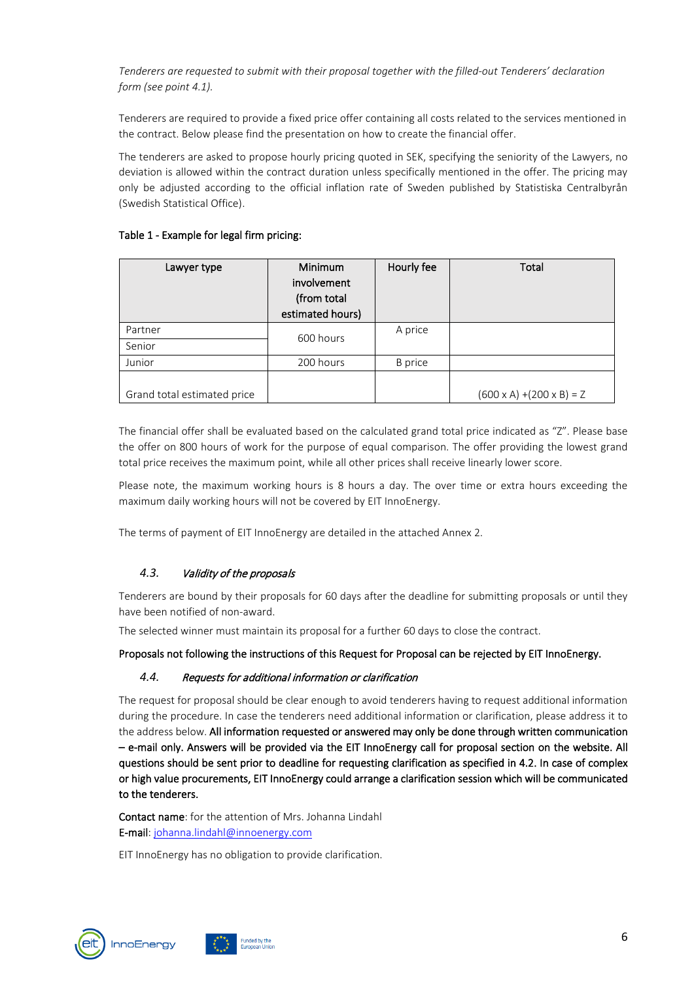*Tenderers are requested to submit with their proposal together with the filled-out Tenderers' declaration form (see point 4.1).* 

Tenderers are required to provide a fixed price offer containing all costs related to the services mentioned in the contract. Below please find the presentation on how to create the financial offer.

The tenderers are asked to propose hourly pricing quoted in SEK, specifying the seniority of the Lawyers, no deviation is allowed within the contract duration unless specifically mentioned in the offer. The pricing may only be adjusted according to the official inflation rate of Sweden published by Statistiska Centralbyrån (Swedish Statistical Office).

#### Table 1 - Example for legal firm pricing:

| Lawyer type                 | <b>Minimum</b><br>involvement<br>(from total<br>estimated hours) | Hourly fee     | Total                                 |
|-----------------------------|------------------------------------------------------------------|----------------|---------------------------------------|
| Partner                     | 600 hours                                                        | A price        |                                       |
| Senior                      |                                                                  |                |                                       |
| Junior                      | 200 hours                                                        | <b>B</b> price |                                       |
| Grand total estimated price |                                                                  |                | $(600 \times A) + (200 \times B) = Z$ |

The financial offer shall be evaluated based on the calculated grand total price indicated as "Z". Please base the offer on 800 hours of work for the purpose of equal comparison. The offer providing the lowest grand total price receives the maximum point, while all other prices shall receive linearly lower score.

Please note, the maximum working hours is 8 hours a day. The over time or extra hours exceeding the maximum daily working hours will not be covered by EIT InnoEnergy.

The terms of payment of EIT InnoEnergy are detailed in the attached Annex 2.

#### <span id="page-5-0"></span>*4.3.* Validity of the proposals

Tenderers are bound by their proposals for 60 days after the deadline for submitting proposals or until they have been notified of non-award.

The selected winner must maintain its proposal for a further 60 days to close the contract.

<span id="page-5-1"></span>Proposals not following the instructions of this Request for Proposal can be rejected by EIT InnoEnergy.

#### *4.4.* Requests for additional information or clarification

The request for proposal should be clear enough to avoid tenderers having to request additional information during the procedure. In case the tenderers need additional information or clarification, please address it to the address below. All information requested or answered may only be done through written communication – e-mail only. Answers will be provided via the EIT InnoEnergy call for proposal section on the website. All questions should be sent prior to deadline for requesting clarification as specified in 4.2. In case of complex or high value procurements, EIT InnoEnergy could arrange a clarification session which will be communicated to the tenderers.

Contact name: for the attention of Mrs. Johanna Lindahl E-mail: [johanna.lindahl@innoenergy.com](mailto:johanna.lindahl@innoenergy.com)

EIT InnoEnergy has no obligation to provide clarification.

ded by the



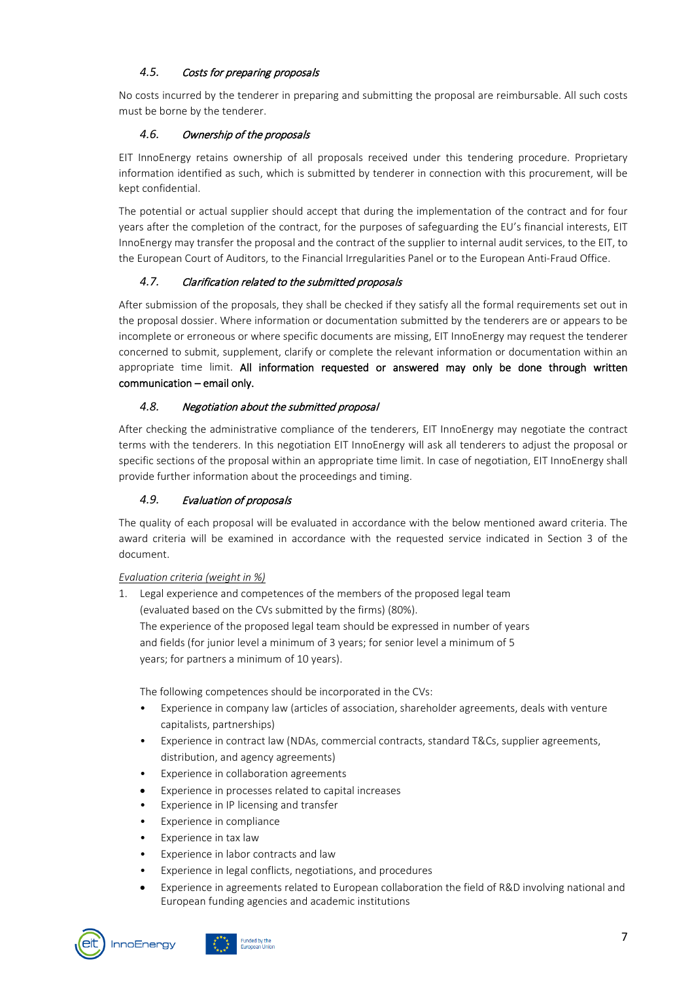## <span id="page-6-0"></span>*4.5.* Costs for preparing proposals

No costs incurred by the tenderer in preparing and submitting the proposal are reimbursable. All such costs must be borne by the tenderer.

## <span id="page-6-1"></span>*4.6.* Ownership of the proposals

EIT InnoEnergy retains ownership of all proposals received under this tendering procedure. Proprietary information identified as such, which is submitted by tenderer in connection with this procurement, will be kept confidential.

The potential or actual supplier should accept that during the implementation of the contract and for four years after the completion of the contract, for the purposes of safeguarding the EU's financial interests, EIT InnoEnergy may transfer the proposal and the contract of the supplier to internal audit services, to the EIT, to the European Court of Auditors, to the Financial Irregularities Panel or to the European Anti-Fraud Office.

## <span id="page-6-2"></span>*4.7.* Clarification related to the submitted proposals

After submission of the proposals, they shall be checked if they satisfy all the formal requirements set out in the proposal dossier. Where information or documentation submitted by the tenderers are or appears to be incomplete or erroneous or where specific documents are missing, EIT InnoEnergy may request the tenderer concerned to submit, supplement, clarify or complete the relevant information or documentation within an appropriate time limit. All information requested or answered may only be done through written communication – email only.

## <span id="page-6-3"></span>*4.8.* Negotiation about the submitted proposal

After checking the administrative compliance of the tenderers, EIT InnoEnergy may negotiate the contract terms with the tenderers. In this negotiation EIT InnoEnergy will ask all tenderers to adjust the proposal or specific sections of the proposal within an appropriate time limit. In case of negotiation, EIT InnoEnergy shall provide further information about the proceedings and timing.

## <span id="page-6-4"></span>*4.9.* Evaluation of proposals

The quality of each proposal will be evaluated in accordance with the below mentioned award criteria. The award criteria will be examined in accordance with the requested service indicated in Section 3 of the document.

#### *Evaluation criteria (weight in %)*

1. Legal experience and competences of the members of the proposed legal team (evaluated based on the CVs submitted by the firms) (80%). The experience of the proposed legal team should be expressed in number of years and fields (for junior level a minimum of 3 years; for senior level a minimum of 5 years; for partners a minimum of 10 years).

The following competences should be incorporated in the CVs:

- Experience in company law (articles of association, shareholder agreements, deals with venture capitalists, partnerships)
- Experience in contract law (NDAs, commercial contracts, standard T&Cs, supplier agreements, distribution, and agency agreements)
- Experience in collaboration agreements
- Experience in processes related to capital increases
- Experience in IP licensing and transfer
- Experience in compliance
- Experience in tax law
- Experience in labor contracts and law
- Experience in legal conflicts, negotiations, and procedures
- Experience in agreements related to European collaboration the field of R&D involving national and European funding agencies and academic institutions



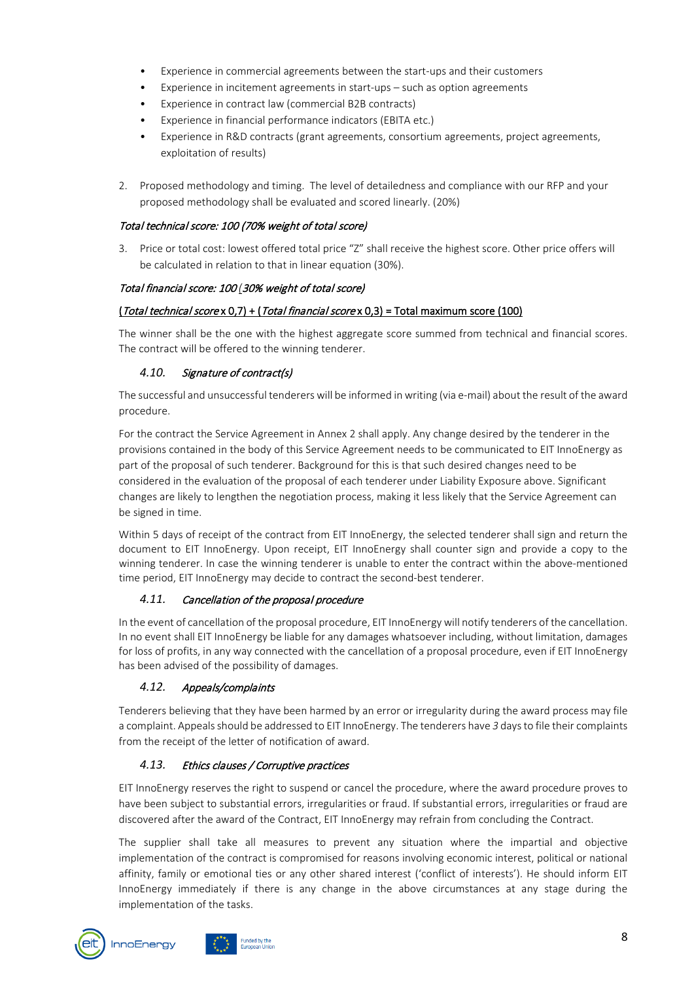- Experience in commercial agreements between the start-ups and their customers
- Experience in incitement agreements in start-ups such as option agreements
- Experience in contract law (commercial B2B contracts)
- Experience in financial performance indicators (EBITA etc.)
- Experience in R&D contracts (grant agreements, consortium agreements, project agreements, exploitation of results)
- 2. Proposed methodology and timing. The level of detailedness and compliance with our RFP and your proposed methodology shall be evaluated and scored linearly. (20%)

#### Total technical score: 100 (70% weight of total score)

3. Price or total cost: lowest offered total price "Z" shall receive the highest score. Other price offers will be calculated in relation to that in linear equation (30%).

## Total financial score: 100 *(*30% weight of total score)

## $(Total technical scores 0,7) + (Total financial scores 0,3) = Total maximum score (100)$

The winner shall be the one with the highest aggregate score summed from technical and financial scores. The contract will be offered to the winning tenderer.

## <span id="page-7-0"></span>*4.10.* Signature of contract(s)

The successful and unsuccessful tenderers will be informed in writing (via e-mail) about the result of the award procedure.

For the contract the Service Agreement in Annex 2 shall apply. Any change desired by the tenderer in the provisions contained in the body of this Service Agreement needs to be communicated to EIT InnoEnergy as part of the proposal of such tenderer. Background for this is that such desired changes need to be considered in the evaluation of the proposal of each tenderer under Liability Exposure above. Significant changes are likely to lengthen the negotiation process, making it less likely that the Service Agreement can be signed in time.

Within 5 days of receipt of the contract from EIT InnoEnergy, the selected tenderer shall sign and return the document to EIT InnoEnergy. Upon receipt, EIT InnoEnergy shall counter sign and provide a copy to the winning tenderer. In case the winning tenderer is unable to enter the contract within the above-mentioned time period, EIT InnoEnergy may decide to contract the second-best tenderer.

#### <span id="page-7-1"></span>*4.11.* Cancellation of the proposal procedure

In the event of cancellation of the proposal procedure, EIT InnoEnergy will notify tenderers of the cancellation. In no event shall EIT InnoEnergy be liable for any damages whatsoever including, without limitation, damages for loss of profits, in any way connected with the cancellation of a proposal procedure, even if EIT InnoEnergy has been advised of the possibility of damages.

## <span id="page-7-2"></span>*4.12.* Appeals/complaints

Tenderers believing that they have been harmed by an error or irregularity during the award process may file a complaint. Appeals should be addressed to EIT InnoEnergy. The tenderers have *3* days to file their complaints from the receipt of the letter of notification of award.

## <span id="page-7-3"></span>*4.13.* Ethics clauses / Corruptive practices

ded by the

EIT InnoEnergy reserves the right to suspend or cancel the procedure, where the award procedure proves to have been subject to substantial errors, irregularities or fraud. If substantial errors, irregularities or fraud are discovered after the award of the Contract, EIT InnoEnergy may refrain from concluding the Contract.

The supplier shall take all measures to prevent any situation where the impartial and objective implementation of the contract is compromised for reasons involving economic interest, political or national affinity, family or emotional ties or any other shared interest ('conflict of interests'). He should inform EIT InnoEnergy immediately if there is any change in the above circumstances at any stage during the implementation of the tasks.